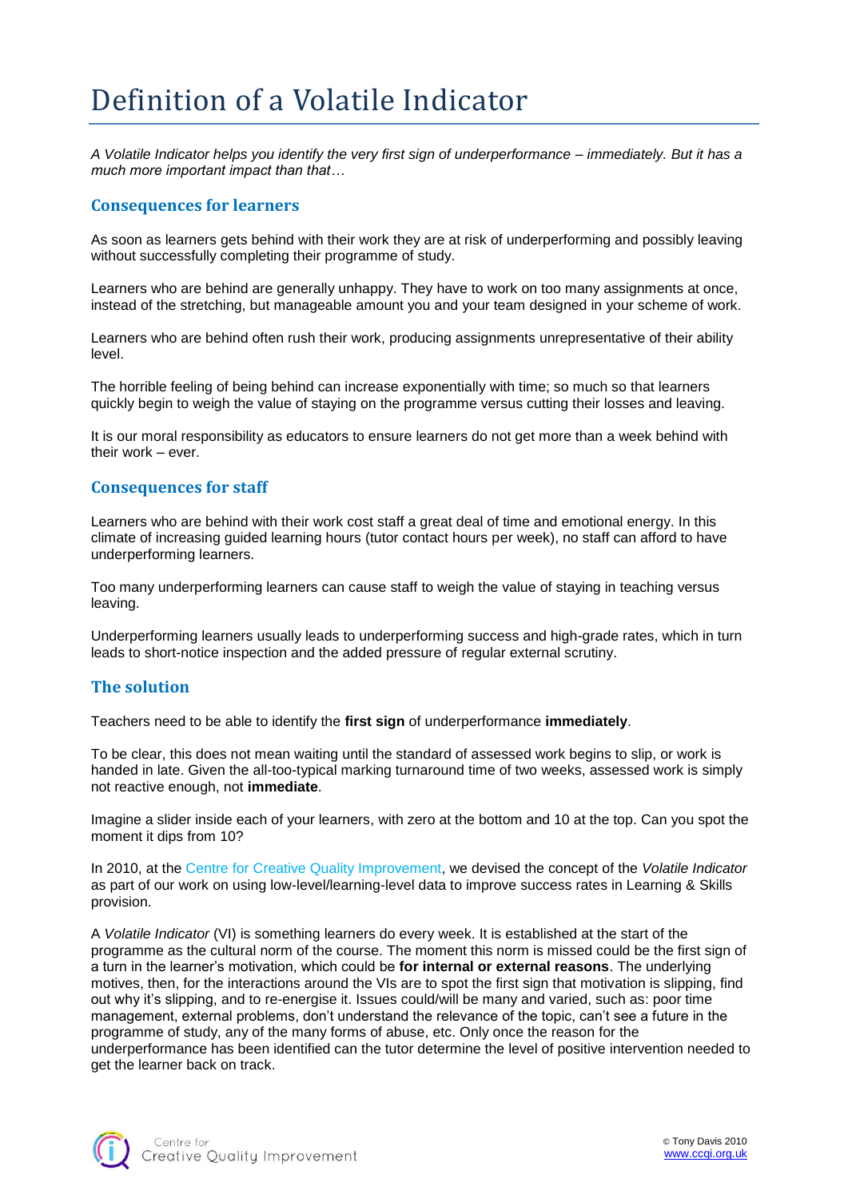## Definition of a Volatile Indicator

*A Volatile Indicator helps you identify the very first sign of underperformance – immediately. But it has a much more important impact than that…* 

## **Consequences for learners**

As soon as learners gets behind with their work they are at risk of underperforming and possibly leaving without successfully completing their programme of study.

Learners who are behind are generally unhappy. They have to work on too many assignments at once, instead of the stretching, but manageable amount you and your team designed in your scheme of work.

Learners who are behind often rush their work, producing assignments unrepresentative of their ability level.

The horrible feeling of being behind can increase exponentially with time; so much so that learners quickly begin to weigh the value of staying on the programme versus cutting their losses and leaving.

It is our moral responsibility as educators to ensure learners do not get more than a week behind with their work – ever.

## **Consequences for staff**

Learners who are behind with their work cost staff a great deal of time and emotional energy. In this climate of increasing guided learning hours (tutor contact hours per week), no staff can afford to have underperforming learners.

Too many underperforming learners can cause staff to weigh the value of staying in teaching versus leaving.

Underperforming learners usually leads to underperforming success and high-grade rates, which in turn leads to short-notice inspection and the added pressure of regular external scrutiny.

## **The solution**

Teachers need to be able to identify the **first sign** of underperformance **immediately**.

To be clear, this does not mean waiting until the standard of assessed work begins to slip, or work is handed in late. Given the all-too-typical marking turnaround time of two weeks, assessed work is simply not reactive enough, not **immediate**.

Imagine a slider inside each of your learners, with zero at the bottom and 10 at the top. Can you spot the moment it dips from 10?

In 2010, at the Centre for Creative Quality Improvement, we devised the concept of the *Volatile Indicator* as part of our work on using low-level/learning-level data to improve success rates in Learning & Skills provision.

A *Volatile Indicator* (VI) is something learners do every week. It is established at the start of the programme as the cultural norm of the course. The moment this norm is missed could be the first sign of a turn in the learner's motivation, which could be **for internal or external reasons**. The underlying motives, then, for the interactions around the VIs are to spot the first sign that motivation is slipping, find out why it's slipping, and to re-energise it. Issues could/will be many and varied, such as: poor time management, external problems, don't understand the relevance of the topic, can't see a future in the programme of study, any of the many forms of abuse, etc. Only once the reason for the underperformance has been identified can the tutor determine the level of positive intervention needed to get the learner back on track.